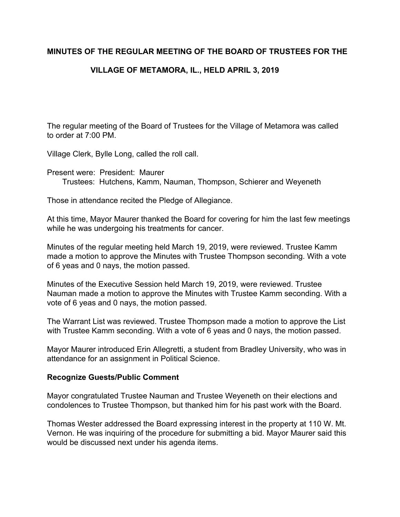### **MINUTES OF THE REGULAR MEETING OF THE BOARD OF TRUSTEES FOR THE**

# **VILLAGE OF METAMORA, IL., HELD APRIL 3, 2019**

The regular meeting of the Board of Trustees for the Village of Metamora was called to order at 7:00 PM.

Village Clerk, Bylle Long, called the roll call.

Present were: President: Maurer Trustees: Hutchens, Kamm, Nauman, Thompson, Schierer and Weyeneth

Those in attendance recited the Pledge of Allegiance.

At this time, Mayor Maurer thanked the Board for covering for him the last few meetings while he was undergoing his treatments for cancer.

Minutes of the regular meeting held March 19, 2019, were reviewed. Trustee Kamm made a motion to approve the Minutes with Trustee Thompson seconding. With a vote of 6 yeas and 0 nays, the motion passed.

Minutes of the Executive Session held March 19, 2019, were reviewed. Trustee Nauman made a motion to approve the Minutes with Trustee Kamm seconding. With a vote of 6 yeas and 0 nays, the motion passed.

The Warrant List was reviewed. Trustee Thompson made a motion to approve the List with Trustee Kamm seconding. With a vote of 6 yeas and 0 nays, the motion passed.

Mayor Maurer introduced Erin Allegretti, a student from Bradley University, who was in attendance for an assignment in Political Science.

#### **Recognize Guests/Public Comment**

Mayor congratulated Trustee Nauman and Trustee Weyeneth on their elections and condolences to Trustee Thompson, but thanked him for his past work with the Board.

Thomas Wester addressed the Board expressing interest in the property at 110 W. Mt. Vernon. He was inquiring of the procedure for submitting a bid. Mayor Maurer said this would be discussed next under his agenda items.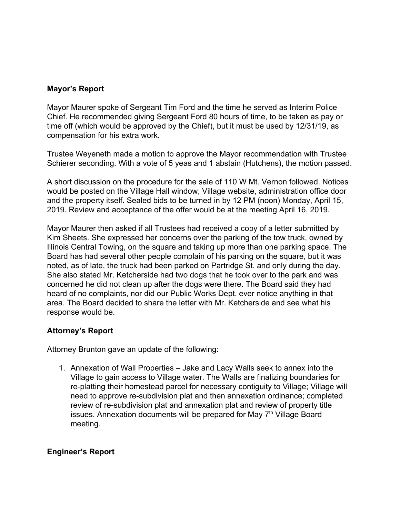# **Mayor's Report**

Mayor Maurer spoke of Sergeant Tim Ford and the time he served as Interim Police Chief. He recommended giving Sergeant Ford 80 hours of time, to be taken as pay or time off (which would be approved by the Chief), but it must be used by 12/31/19, as compensation for his extra work.

Trustee Weyeneth made a motion to approve the Mayor recommendation with Trustee Schierer seconding. With a vote of 5 yeas and 1 abstain (Hutchens), the motion passed.

A short discussion on the procedure for the sale of 110 W Mt. Vernon followed. Notices would be posted on the Village Hall window, Village website, administration office door and the property itself. Sealed bids to be turned in by 12 PM (noon) Monday, April 15, 2019. Review and acceptance of the offer would be at the meeting April 16, 2019.

Mayor Maurer then asked if all Trustees had received a copy of a letter submitted by Kim Sheets. She expressed her concerns over the parking of the tow truck, owned by Illinois Central Towing, on the square and taking up more than one parking space. The Board has had several other people complain of his parking on the square, but it was noted, as of late, the truck had been parked on Partridge St. and only during the day. She also stated Mr. Ketcherside had two dogs that he took over to the park and was concerned he did not clean up after the dogs were there. The Board said they had heard of no complaints, nor did our Public Works Dept. ever notice anything in that area. The Board decided to share the letter with Mr. Ketcherside and see what his response would be.

#### **Attorney's Report**

Attorney Brunton gave an update of the following:

1. Annexation of Wall Properties – Jake and Lacy Walls seek to annex into the Village to gain access to Village water. The Walls are finalizing boundaries for re-platting their homestead parcel for necessary contiguity to Village; Village will need to approve re-subdivision plat and then annexation ordinance; completed review of re-subdivision plat and annexation plat and review of property title issues. Annexation documents will be prepared for May 7<sup>th</sup> Village Board meeting.

#### **Engineer's Report**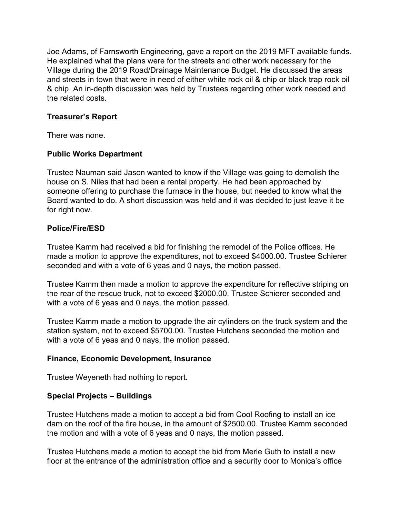Joe Adams, of Farnsworth Engineering, gave a report on the 2019 MFT available funds. He explained what the plans were for the streets and other work necessary for the Village during the 2019 Road/Drainage Maintenance Budget. He discussed the areas and streets in town that were in need of either white rock oil & chip or black trap rock oil & chip. An in-depth discussion was held by Trustees regarding other work needed and the related costs.

### **Treasurer's Report**

There was none.

### **Public Works Department**

Trustee Nauman said Jason wanted to know if the Village was going to demolish the house on S. Niles that had been a rental property. He had been approached by someone offering to purchase the furnace in the house, but needed to know what the Board wanted to do. A short discussion was held and it was decided to just leave it be for right now.

#### **Police/Fire/ESD**

Trustee Kamm had received a bid for finishing the remodel of the Police offices. He made a motion to approve the expenditures, not to exceed \$4000.00. Trustee Schierer seconded and with a vote of 6 yeas and 0 nays, the motion passed.

Trustee Kamm then made a motion to approve the expenditure for reflective striping on the rear of the rescue truck, not to exceed \$2000.00. Trustee Schierer seconded and with a vote of 6 yeas and 0 nays, the motion passed.

Trustee Kamm made a motion to upgrade the air cylinders on the truck system and the station system, not to exceed \$5700.00. Trustee Hutchens seconded the motion and with a vote of 6 yeas and 0 nays, the motion passed.

#### **Finance, Economic Development, Insurance**

Trustee Weyeneth had nothing to report.

# **Special Projects – Buildings**

Trustee Hutchens made a motion to accept a bid from Cool Roofing to install an ice dam on the roof of the fire house, in the amount of \$2500.00. Trustee Kamm seconded the motion and with a vote of 6 yeas and 0 nays, the motion passed.

Trustee Hutchens made a motion to accept the bid from Merle Guth to install a new floor at the entrance of the administration office and a security door to Monica's office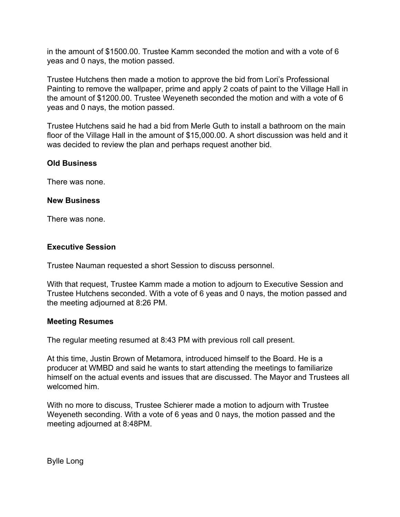in the amount of \$1500.00. Trustee Kamm seconded the motion and with a vote of 6 yeas and 0 nays, the motion passed.

Trustee Hutchens then made a motion to approve the bid from Lori's Professional Painting to remove the wallpaper, prime and apply 2 coats of paint to the Village Hall in the amount of \$1200.00. Trustee Weyeneth seconded the motion and with a vote of 6 yeas and 0 nays, the motion passed.

Trustee Hutchens said he had a bid from Merle Guth to install a bathroom on the main floor of the Village Hall in the amount of \$15,000.00. A short discussion was held and it was decided to review the plan and perhaps request another bid.

# **Old Business**

There was none.

#### **New Business**

There was none.

#### **Executive Session**

Trustee Nauman requested a short Session to discuss personnel.

With that request, Trustee Kamm made a motion to adjourn to Executive Session and Trustee Hutchens seconded. With a vote of 6 yeas and 0 nays, the motion passed and the meeting adjourned at 8:26 PM.

#### **Meeting Resumes**

The regular meeting resumed at 8:43 PM with previous roll call present.

At this time, Justin Brown of Metamora, introduced himself to the Board. He is a producer at WMBD and said he wants to start attending the meetings to familiarize himself on the actual events and issues that are discussed. The Mayor and Trustees all welcomed him.

With no more to discuss, Trustee Schierer made a motion to adjourn with Trustee Weyeneth seconding. With a vote of 6 yeas and 0 nays, the motion passed and the meeting adjourned at 8:48PM.

Bylle Long